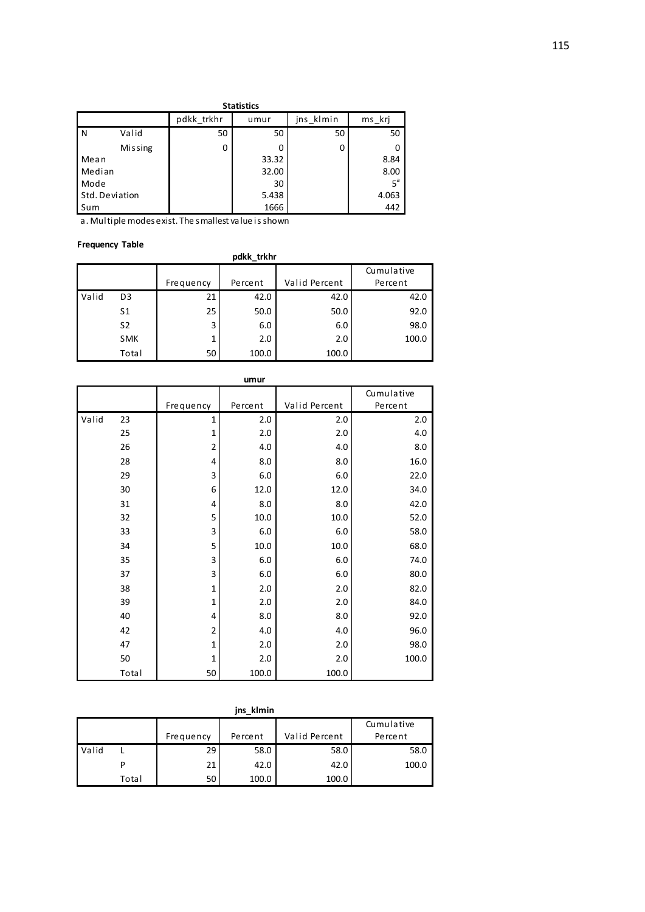|                | <b>Statistics</b> |            |       |           |                |  |  |  |  |
|----------------|-------------------|------------|-------|-----------|----------------|--|--|--|--|
|                |                   | pdkk trkhr | umur  | jns klmin | ms krj         |  |  |  |  |
| N              | Valid             | 50         | 50    | 50        | 50             |  |  |  |  |
|                | Missing           | 0          |       | 0         |                |  |  |  |  |
| Mean           |                   |            | 33.32 |           | 8.84           |  |  |  |  |
| Median         |                   |            | 32.00 |           | 8.00           |  |  |  |  |
| Mode           |                   |            | 30    |           | 5 <sup>a</sup> |  |  |  |  |
| Std. Deviation |                   |            | 5.438 |           | 4.063          |  |  |  |  |
| Sum            |                   |            | 1666  |           | 442            |  |  |  |  |

a. Multiple modes exist. The smallest value is shown

## **Frequency Table**

|       | <b>TICHNCIICA IMMIC</b> |           |         |               |            |  |  |  |  |
|-------|-------------------------|-----------|---------|---------------|------------|--|--|--|--|
|       | pdkk trkhr              |           |         |               |            |  |  |  |  |
|       |                         |           |         |               | Cumulative |  |  |  |  |
|       |                         | Frequency | Percent | Valid Percent | Percent    |  |  |  |  |
| Valid | D <sub>3</sub>          | 21        | 42.0    | 42.0          | 42.0       |  |  |  |  |
|       | S1                      | 25        | 50.0    | 50.0          | 92.0       |  |  |  |  |
|       | S <sub>2</sub>          | 3         | 6.0     | 6.0           | 98.0       |  |  |  |  |
|       | <b>SMK</b>              | 1         | 2.0     | 2.0           | 100.0      |  |  |  |  |
|       | Total                   | 50        | 100.0   | 100.0         |            |  |  |  |  |

|       |       |                | umur    |               |            |
|-------|-------|----------------|---------|---------------|------------|
|       |       |                |         |               | Cumulative |
|       |       | Frequency      | Percent | Valid Percent | Percent    |
| Valid | 23    | 1              | 2.0     | 2.0           | 2.0        |
|       | 25    | $\mathbf{1}$   | 2.0     | 2.0           | 4.0        |
|       | 26    | $\overline{2}$ | 4.0     | 4.0           | 8.0        |
|       | 28    | 4              | 8.0     | 8.0           | 16.0       |
|       | 29    | 3              | 6.0     | 6.0           | 22.0       |
|       | 30    | 6              | 12.0    | 12.0          | 34.0       |
|       | 31    | 4              | 8.0     | 8.0           | 42.0       |
|       | 32    | 5              | 10.0    | 10.0          | 52.0       |
|       | 33    | 3              | 6.0     | 6.0           | 58.0       |
|       | 34    | 5              | 10.0    | 10.0          | 68.0       |
|       | 35    | 3              | 6.0     | 6.0           | 74.0       |
|       | 37    | 3              | 6.0     | 6.0           | 80.0       |
|       | 38    | $\mathbf{1}$   | 2.0     | 2.0           | 82.0       |
|       | 39    | $\mathbf{1}$   | 2.0     | 2.0           | 84.0       |
|       | 40    | 4              | 8.0     | 8.0           | 92.0       |
|       | 42    | $\overline{2}$ | 4.0     | 4.0           | 96.0       |
|       | 47    | $\mathbf{1}$   | 2.0     | 2.0           | 98.0       |
|       | 50    | $\mathbf{1}$   | 2.0     | 2.0           | 100.0      |
|       | Total | 50             | 100.0   | 100.0         |            |

|       | jns kimin |           |         |               |            |  |  |  |  |
|-------|-----------|-----------|---------|---------------|------------|--|--|--|--|
|       |           |           |         |               | Cumulative |  |  |  |  |
|       |           | Frequency | Percent | Valid Percent | Percent    |  |  |  |  |
| Valid |           | 29        | 58.0    | 58.0          | 58.0       |  |  |  |  |
|       |           | 21        | 42.0    | 42.0          | 100.0      |  |  |  |  |
|       | Total     | 50        | 100.0   | 100.0         |            |  |  |  |  |

#### **jns\_klmin**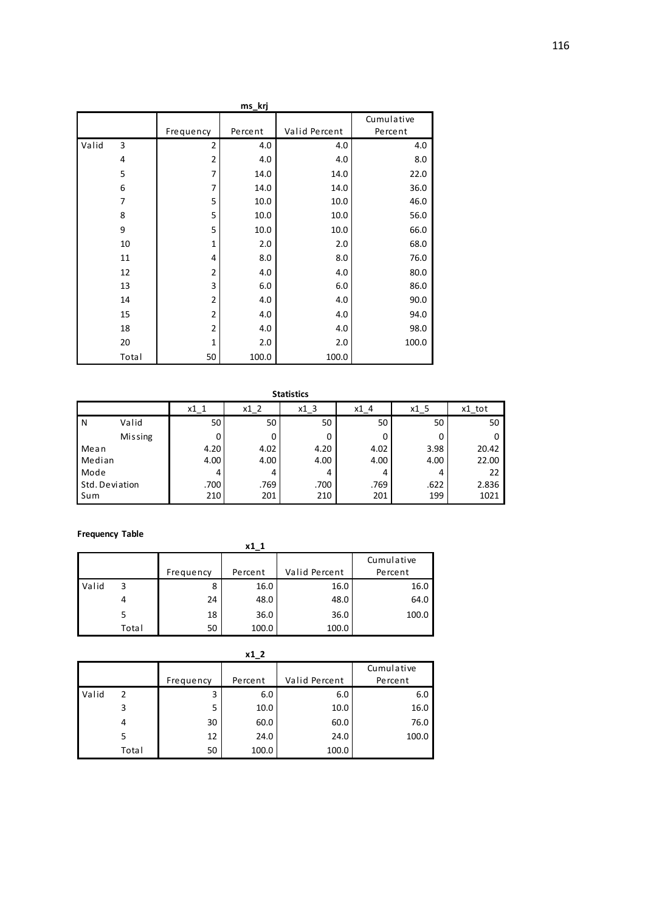|       | ms_krj |                |         |               |            |  |  |  |
|-------|--------|----------------|---------|---------------|------------|--|--|--|
|       |        |                |         |               | Cumulative |  |  |  |
|       |        | Frequency      | Percent | Valid Percent | Percent    |  |  |  |
| Valid | 3      | $\overline{2}$ | 4.0     | 4.0           | 4.0        |  |  |  |
|       | 4      | $\overline{2}$ | 4.0     | 4.0           | 8.0        |  |  |  |
|       | 5      | 7              | 14.0    | 14.0          | 22.0       |  |  |  |
|       | 6      | $\overline{7}$ | 14.0    | 14.0          | 36.0       |  |  |  |
|       | 7      | 5              | 10.0    | 10.0          | 46.0       |  |  |  |
|       | 8      | 5              | 10.0    | 10.0          | 56.0       |  |  |  |
|       | 9      | 5              | 10.0    | 10.0          | 66.0       |  |  |  |
|       | 10     | $\mathbf{1}$   | 2.0     | 2.0           | 68.0       |  |  |  |
|       | 11     | 4              | 8.0     | 8.0           | 76.0       |  |  |  |
|       | 12     | $\overline{2}$ | 4.0     | 4.0           | 80.0       |  |  |  |
|       | 13     | 3              | 6.0     | 6.0           | 86.0       |  |  |  |
|       | 14     | $\overline{2}$ | 4.0     | 4.0           | 90.0       |  |  |  |
|       | 15     | 2              | 4.0     | 4.0           | 94.0       |  |  |  |
|       | 18     | $\overline{2}$ | 4.0     | 4.0           | 98.0       |  |  |  |
|       | 20     | $\mathbf{1}$   | 2.0     | 2.0           | 100.0      |  |  |  |
|       | Total  | 50             | 100.0   | 100.0         |            |  |  |  |

|                |                | $x1_1$ | $x1_2$ | $x1_3$ | $x1_4$ | $x1_{5}$ | x1_tot |
|----------------|----------------|--------|--------|--------|--------|----------|--------|
| $\overline{N}$ | Valid          | 50     | 50     | 50     | 50     | 50       | 50     |
|                | <b>Missing</b> |        | 0      | 0      | 0      |          | 0      |
| Mean           |                | 4.20   | 4.02   | 4.20   | 4.02   | 3.98     | 20.42  |
| Median         |                | 4.00   | 4.00   | 4.00   | 4.00   | 4.00     | 22.00  |
| Mode           |                |        | 4      | 4      | 4      |          | 22     |
|                | Std. Deviation | .700   | .769   | .700   | .769   | .622     | 2.836  |
| Sum            |                | 210    | 201    | 210    | 201    | 199      | 1021   |

#### **Frequency Table**

**x1\_1**

|       |       |           |         |               | Cumulative |
|-------|-------|-----------|---------|---------------|------------|
|       |       | Frequency | Percent | Valid Percent | Percent    |
| Valid | 3     |           | 16.0    | 16.0          | 16.0       |
|       |       | 24        | 48.0    | 48.0          | 64.0       |
|       |       | 18        | 36.0    | 36.0          | 100.0      |
|       | Total | 50        | 100.0   | 100.0         |            |

|       |       |           |         |               | Cumulative |
|-------|-------|-----------|---------|---------------|------------|
|       |       | Frequency | Percent | Valid Percent | Percent    |
| Valid | 2     | 3         | 6.0     | 6.0           | 6.0        |
|       |       | 5         | 10.0    | 10.0          | 16.0       |
|       | 4     | 30        | 60.0    | 60.0          | 76.0       |
|       |       | 12        | 24.0    | 24.0          | 100.0      |
|       | Total | 50        | 100.0   | 100.0         |            |

**x1\_2**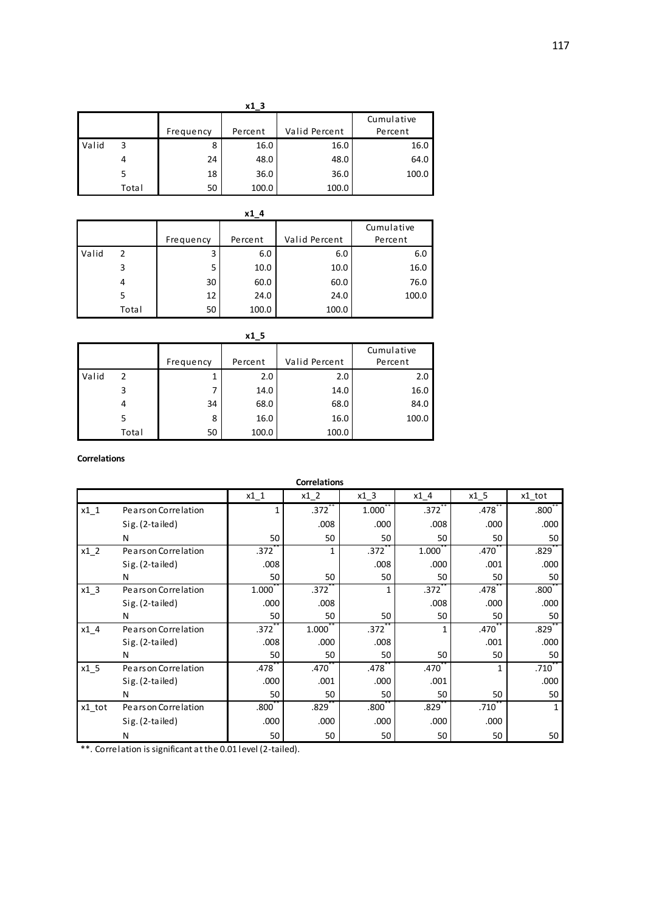|       | x13   |           |         |               |            |  |  |  |
|-------|-------|-----------|---------|---------------|------------|--|--|--|
|       |       |           |         |               | Cumulative |  |  |  |
|       |       | Frequency | Percent | Valid Percent | Percent    |  |  |  |
| Valid | 3     | 8         | 16.0    | 16.0          | 16.0       |  |  |  |
|       |       | 24        | 48.0    | 48.0          | 64.0       |  |  |  |
|       |       | 18        | 36.0    | 36.0          | 100.0      |  |  |  |
|       | Total | 50        | 100.0   | 100.0         |            |  |  |  |

|       | x14   |           |         |               |                       |  |  |  |
|-------|-------|-----------|---------|---------------|-----------------------|--|--|--|
|       |       | Frequency | Percent | Valid Percent | Cumulative<br>Percent |  |  |  |
| Valid | 2     | 3         | 6.0     | 6.0           | 6.0                   |  |  |  |
|       | 3     | 5         | 10.0    | 10.0          | 16.0                  |  |  |  |
|       | 4     | 30        | 60.0    | 60.0          | 76.0                  |  |  |  |
|       | 5     | 12        | 24.0    | 24.0          | 100.0                 |  |  |  |
|       | Total | 50        | 100.0   | 100.0         |                       |  |  |  |

|       | x1 <sub>5</sub> |           |         |               |                       |  |  |  |
|-------|-----------------|-----------|---------|---------------|-----------------------|--|--|--|
|       |                 | Frequency | Percent | Valid Percent | Cumulative<br>Percent |  |  |  |
| Valid | $\mathcal{P}$   | 1         | 2.0     | 2.0           | 2.0                   |  |  |  |
|       | 3               |           | 14.0    | 14.0          | 16.0                  |  |  |  |
|       | 4               | 34        | 68.0    | 68.0          | 84.0                  |  |  |  |
|       | 5               | 8         | 16.0    | 16.0          | 100.0                 |  |  |  |
|       | Total           | 50        | 100.0   | 100.0         |                       |  |  |  |

### **Correlations**

|        | <b>Correlations</b>  |                   |           |                   |           |        |                      |  |  |
|--------|----------------------|-------------------|-----------|-------------------|-----------|--------|----------------------|--|--|
|        |                      | $x1_1$            | $x1_2$    | $x1_3$            | $x1_4$    | $x1_5$ | x1_tot               |  |  |
| $x1_1$ | Pears on Correlation | 1                 | $.372$ ** | 1.000             | $.372$ ** | .478   | $.800^{\circ}$       |  |  |
|        | Sig. (2-tailed)      |                   | .008      | .000              | .008      | .000   | .000                 |  |  |
|        | N                    | 50                | 50        | 50                | 50        | 50     | 50                   |  |  |
| $x1_2$ | Pears on Correlation | .372              | 1         | .372              | 1.000     | .470   | $.829$ <sup>-1</sup> |  |  |
|        | Sig. (2-tailed)      | .008              |           | .008              | .000      | .001   | .000                 |  |  |
|        | N                    | 50                | 50        | 50                | 50        | 50     | 50                   |  |  |
| $x1_3$ | Pears on Correlation | 1.000             | .372      |                   | .372      | .478   | .800 <sup>°</sup>    |  |  |
|        | $Sig. (2-tailed)$    | .000              | .008      |                   | .008      | .000   | .000                 |  |  |
|        | N                    | 50                | 50        | 50                | 50        | 50     | 50                   |  |  |
| $x1_4$ | Pears on Correlation | .372              | 1.000     | .372              | 1         | .470   | .829                 |  |  |
|        | Sig. (2-tailed)      | .008              | .000      | .008              |           | .001   | .000                 |  |  |
|        | N                    | 50                | 50        | 50                | 50        | 50     | 50                   |  |  |
| $x1_5$ | Pears on Correlation | .478              | .470      | .478              | .470      |        | .710                 |  |  |
|        | Sig. (2-tailed)      | .000              | .001      | .000              | .001      |        | .000                 |  |  |
|        | N                    | 50                | 50        | 50                | 50        | 50     | 50                   |  |  |
| x1 tot | Pears on Correlation | .800 <sup>7</sup> | .829      | .800 <sup>°</sup> | .829      | .710   | 1                    |  |  |
|        | Sig. (2-tailed)      | .000              | .000      | .000              | .000      | .000   |                      |  |  |
|        | N                    | 50                | 50        | 50                | 50        | 50     | 50                   |  |  |

\*\*. Correlation is significant at the 0.01 level (2-tailed).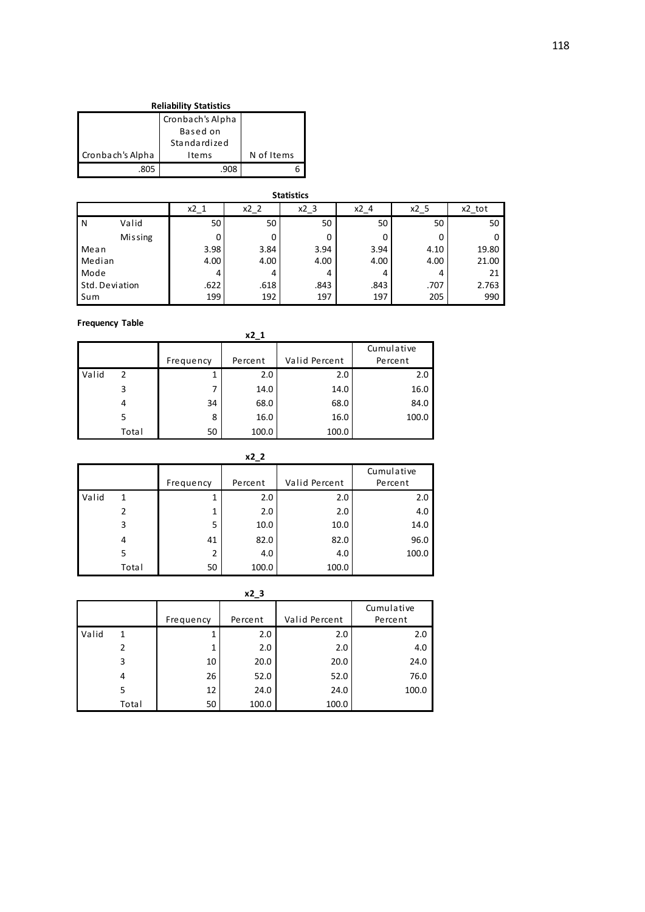| <b>Reliability Statistics</b> |              |            |  |  |  |  |
|-------------------------------|--------------|------------|--|--|--|--|
|                               |              |            |  |  |  |  |
|                               |              |            |  |  |  |  |
|                               | Standardized |            |  |  |  |  |
| Cronbach's Alpha              | I te ms      | N of Items |  |  |  |  |
| .805                          |              |            |  |  |  |  |

|                | <b>Statistics</b>                                             |      |      |      |      |      |       |  |  |  |
|----------------|---------------------------------------------------------------|------|------|------|------|------|-------|--|--|--|
|                | $x2_3$<br>$x2_2$<br>$x2_4$<br>x2_tot<br>$x^2$ $1$<br>$x2_{5}$ |      |      |      |      |      |       |  |  |  |
| N              | Valid                                                         | 50   | 50   | 50   | 50   | 50   | 50    |  |  |  |
|                | <b>Missing</b>                                                |      | 0    | 0    | 0    | 0    | 0     |  |  |  |
| Mean           |                                                               | 3.98 | 3.84 | 3.94 | 3.94 | 4.10 | 19.80 |  |  |  |
| Median         |                                                               | 4.00 | 4.00 | 4.00 | 4.00 | 4.00 | 21.00 |  |  |  |
| Mode           |                                                               |      | 4    | 4    | 4    | 4    | 21    |  |  |  |
| Std. Deviation |                                                               | .622 | .618 | .843 | .843 | .707 | 2.763 |  |  |  |
| Sum            |                                                               | 199  | 192  | 197  | 197  | 205  | 990   |  |  |  |

**Frequency Table**

|       | x2 1  |           |         |               |            |  |  |  |  |  |
|-------|-------|-----------|---------|---------------|------------|--|--|--|--|--|
|       |       |           |         |               | Cumulative |  |  |  |  |  |
|       |       | Frequency | Percent | Valid Percent | Percent    |  |  |  |  |  |
| Valid | 2     |           | 2.0     | 2.0           | 2.0        |  |  |  |  |  |
|       | 3     | 7         | 14.0    | 14.0          | 16.0       |  |  |  |  |  |
|       | 4     | 34        | 68.0    | 68.0          | 84.0       |  |  |  |  |  |
|       | 5     | 8         | 16.0    | 16.0          | 100.0      |  |  |  |  |  |
|       | Total | 50        | 100.0   | 100.0         |            |  |  |  |  |  |

|       | $x2_2$ |           |         |               |                       |  |  |  |  |  |
|-------|--------|-----------|---------|---------------|-----------------------|--|--|--|--|--|
|       |        | Frequency | Percent | Valid Percent | Cumulative<br>Percent |  |  |  |  |  |
| Valid |        |           | 2.0     | 2.0           | 2.0                   |  |  |  |  |  |
|       |        | 1         | 2.0     | 2.0           | 4.0                   |  |  |  |  |  |
|       | 3      | 5         | 10.0    | 10.0          | 14.0                  |  |  |  |  |  |
|       | 4      | 41        | 82.0    | 82.0          | 96.0                  |  |  |  |  |  |
|       | 5      | 2         | 4.0     | 4.0           | 100.0                 |  |  |  |  |  |
|       | Total  | 50        | 100.0   | 100.0         |                       |  |  |  |  |  |

|       | $x2_3$ |           |         |               |                       |  |  |  |  |  |
|-------|--------|-----------|---------|---------------|-----------------------|--|--|--|--|--|
|       |        | Frequency | Percent | Valid Percent | Cumulative<br>Percent |  |  |  |  |  |
| Valid | 1      |           | 2.0     | 2.0           | 2.0                   |  |  |  |  |  |
|       | 2      |           | 2.0     | 2.0           | 4.0                   |  |  |  |  |  |
|       | 3      | 10        | 20.0    | 20.0          | 24.0                  |  |  |  |  |  |
|       | 4      | 26        | 52.0    | 52.0          | 76.0                  |  |  |  |  |  |
|       | 5      | 12        | 24.0    | 24.0          | 100.0                 |  |  |  |  |  |
|       | Total  | 50        | 100.0   | 100.0         |                       |  |  |  |  |  |

118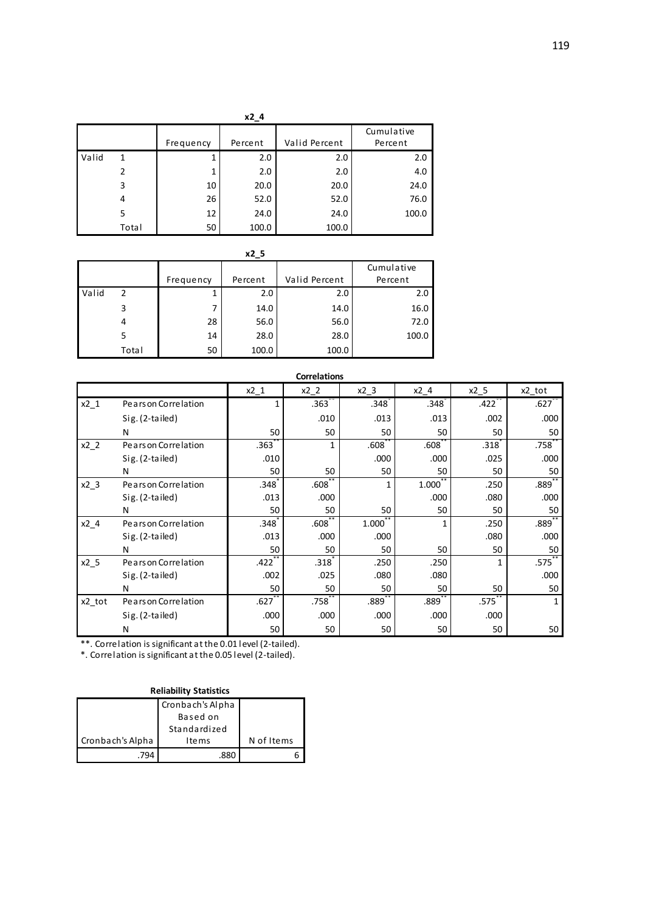|       | x2 4  |           |         |               |                       |  |  |  |  |  |
|-------|-------|-----------|---------|---------------|-----------------------|--|--|--|--|--|
|       |       | Frequency | Percent | Valid Percent | Cumulative<br>Percent |  |  |  |  |  |
| Valid | 1     | 1         | 2.0     | 2.0           | 2.0                   |  |  |  |  |  |
|       | 2     | 1         | 2.0     | 2.0           | 4.0                   |  |  |  |  |  |
|       | 3     | 10        | 20.0    | 20.0          | 24.0                  |  |  |  |  |  |
|       | 4     | 26        | 52.0    | 52.0          | 76.0                  |  |  |  |  |  |
|       | 5     | 12        | 24.0    | 24.0          | 100.0                 |  |  |  |  |  |
|       | Total | 50        | 100.0   | 100.0         |                       |  |  |  |  |  |

|       | x2 5  |           |         |               |            |  |  |  |  |  |
|-------|-------|-----------|---------|---------------|------------|--|--|--|--|--|
|       |       |           |         |               | Cumulative |  |  |  |  |  |
|       |       | Frequency | Percent | Valid Percent | Percent    |  |  |  |  |  |
| Valid | 2     |           | 2.0     | 2.0           | 2.0        |  |  |  |  |  |
|       | 3     |           | 14.0    | 14.0          | 16.0       |  |  |  |  |  |
|       | 4     | 28        | 56.0    | 56.0          | 72.0       |  |  |  |  |  |
|       | 5     | 14        | 28.0    | 28.0          | 100.0      |  |  |  |  |  |
|       | Total | 50        | 100.0   | 100.0         |            |  |  |  |  |  |

| <b>Correlations</b> |                      |                      |                   |        |                   |        |             |  |  |
|---------------------|----------------------|----------------------|-------------------|--------|-------------------|--------|-------------|--|--|
|                     |                      | $x2_1$               | $x2_2$            | $x2_3$ | $x2_4$            | $x2_5$ | x2_tot      |  |  |
| $x^2$ 1             | Pears on Correlation |                      | .363 <sup>°</sup> | .348   | .348              | .422   | .627        |  |  |
|                     | Sig. (2-tailed)      |                      | .010              | .013   | .013              | .002   | .000        |  |  |
|                     | N                    | 50                   | 50                | 50     | 50                | 50     | 50          |  |  |
| $x2_2$              | Pears on Correlation | .363                 | 1                 | .608   | .608              | .318   | .758        |  |  |
|                     | Sig. (2-tailed)      | .010                 |                   | .000   | .000              | .025   | .000        |  |  |
|                     | N                    | 50                   | 50                | 50     | 50                | 50     | 50          |  |  |
| $x2$ 3              | Pears on Correlation | .348 <sup>°</sup>    | .608 <sup>°</sup> | 1      | 1.000             | .250   | $.889^{**}$ |  |  |
|                     | Sig. (2-tailed)      | .013                 | .000              |        | .000              | .080   | .000        |  |  |
|                     | N                    | 50                   | 50                | 50     | 50                | 50     | 50          |  |  |
| $x2_4$              | Pears on Correlation | .348                 | .608              | 1.000  | 1                 | .250   | .889        |  |  |
|                     | $Sig. (2-tailed)$    | .013                 | .000              | .000   |                   | .080   | .000        |  |  |
|                     | N                    | 50                   | 50                | 50     | 50                | 50     | 50          |  |  |
| $x2_5$              | Pears on Correlation | .422                 | .318              | .250   | .250              |        | .575        |  |  |
|                     | Sig. (2-tailed)      | .002                 | .025              | .080   | .080              |        | .000        |  |  |
|                     | N                    | 50                   | 50                | 50     | 50                | 50     | 50          |  |  |
| x2_tot              | Pears on Correlation | $.627$ <sup>**</sup> | .758              | .889   | .889 <sup>°</sup> | .575   | 1           |  |  |
|                     | Sig. (2-tailed)      | .000                 | .000              | .000   | .000              | .000   |             |  |  |
|                     | N                    | 50                   | 50                | 50     | 50                | 50     | 50          |  |  |

\*. Correlation is significant at the 0.05 level (2-tailed).

#### **Reliability Statistics**

|                  | Cronbach's Alpha |            |
|------------------|------------------|------------|
|                  | Based on         |            |
|                  | Standardized     |            |
| Cronbach's Alpha | I te ms          | N of Items |
|                  |                  |            |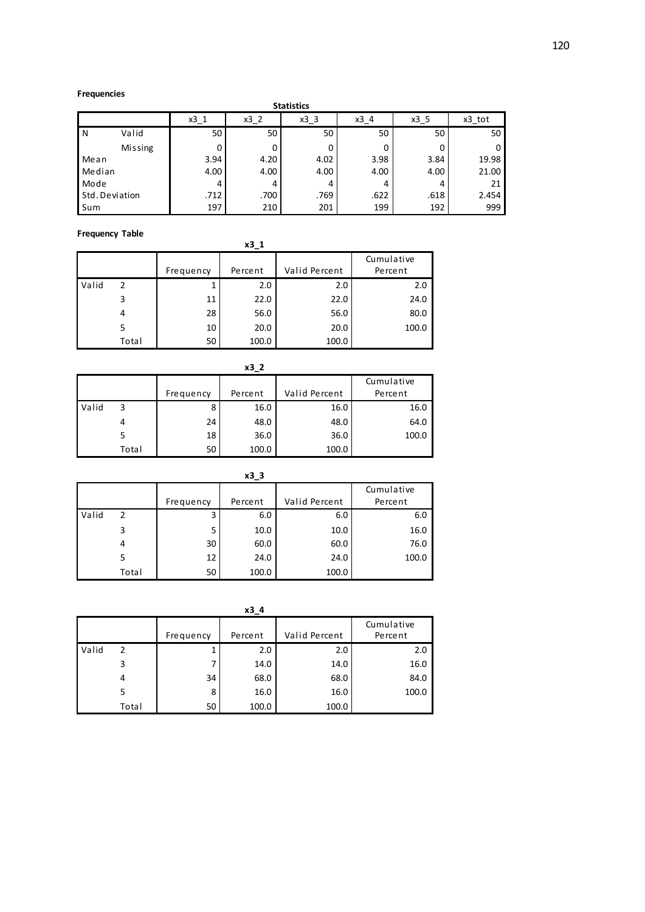#### **Frequencies**

|                | <b>Statistics</b>                                               |      |      |      |      |      |       |  |  |  |
|----------------|-----------------------------------------------------------------|------|------|------|------|------|-------|--|--|--|
|                | x3 3<br>$x3_1$<br>$x3_2$<br>x3 <sub>1</sub> 4<br>x3 5<br>x3 tot |      |      |      |      |      |       |  |  |  |
| N              | Valid                                                           | 50   | 50   | 50   | 50   | 50   | 50    |  |  |  |
|                | <b>Missing</b>                                                  |      | 0    | 0    | 0    |      | 0     |  |  |  |
| Mean           |                                                                 | 3.94 | 4.20 | 4.02 | 3.98 | 3.84 | 19.98 |  |  |  |
| Median         |                                                                 | 4.00 | 4.00 | 4.00 | 4.00 | 4.00 | 21.00 |  |  |  |
| Mode           |                                                                 | 4    | 4    | 4    | 4    | 4    | 21    |  |  |  |
| Std. Deviation |                                                                 | .712 | .700 | .769 | .622 | .618 | 2.454 |  |  |  |
| Sum            |                                                                 | 197  | 210  | 201  | 199  | 192  | 999   |  |  |  |

#### **Frequency Table**

| .     |       |           | x3 1    |               |                       |
|-------|-------|-----------|---------|---------------|-----------------------|
|       |       | Frequency | Percent | Valid Percent | Cumulative<br>Percent |
| Valid | 2     |           | 2.0     | 2.0           | 2.0                   |
|       | 3     | 11        | 22.0    | 22.0          | 24.0                  |
|       | 4     | 28        | 56.0    | 56.0          | 80.0                  |
|       | 5     | 10        | 20.0    | 20.0          | 100.0                 |
|       | Total | 50        | 100.0   | 100.0         |                       |

|       | x3 2  |           |         |               |            |  |  |  |  |  |
|-------|-------|-----------|---------|---------------|------------|--|--|--|--|--|
|       |       |           |         |               | Cumulative |  |  |  |  |  |
|       |       | Frequency | Percent | Valid Percent | Percent    |  |  |  |  |  |
| Valid | 3     | 8         | 16.0    | 16.0          | 16.0       |  |  |  |  |  |
|       | 4     | 24        | 48.0    | 48.0          | 64.0       |  |  |  |  |  |
|       |       | 18        | 36.0    | 36.0          | 100.0      |  |  |  |  |  |
|       | Total | 50        | 100.0   | 100.0         |            |  |  |  |  |  |

| $x3_3$ |       |           |         |               |                       |  |  |  |  |  |
|--------|-------|-----------|---------|---------------|-----------------------|--|--|--|--|--|
|        |       | Frequency | Percent | Valid Percent | Cumulative<br>Percent |  |  |  |  |  |
| Valid  | 2     | 3         | 6.0     | 6.0           | 6.0                   |  |  |  |  |  |
|        | 3     | 5         | 10.0    | 10.0          | 16.0                  |  |  |  |  |  |
|        | 4     | 30        | 60.0    | 60.0          | 76.0                  |  |  |  |  |  |
|        |       | 12        | 24.0    | 24.0          | 100.0                 |  |  |  |  |  |
|        | Total | 50        | 100.0   | 100.0         |                       |  |  |  |  |  |

|       | x3 4  |           |         |               |                       |  |  |  |  |  |
|-------|-------|-----------|---------|---------------|-----------------------|--|--|--|--|--|
|       |       | Frequency | Percent | Valid Percent | Cumulative<br>Percent |  |  |  |  |  |
| Valid | 2     |           | 2.0     | 2.0           | 2.0                   |  |  |  |  |  |
|       | 3     |           | 14.0    | 14.0          | 16.0                  |  |  |  |  |  |
|       | 4     | 34        | 68.0    | 68.0          | 84.0                  |  |  |  |  |  |
|       | 5     | 8         | 16.0    | 16.0          | 100.0                 |  |  |  |  |  |
|       | Total | 50        | 100.0   | 100.0         |                       |  |  |  |  |  |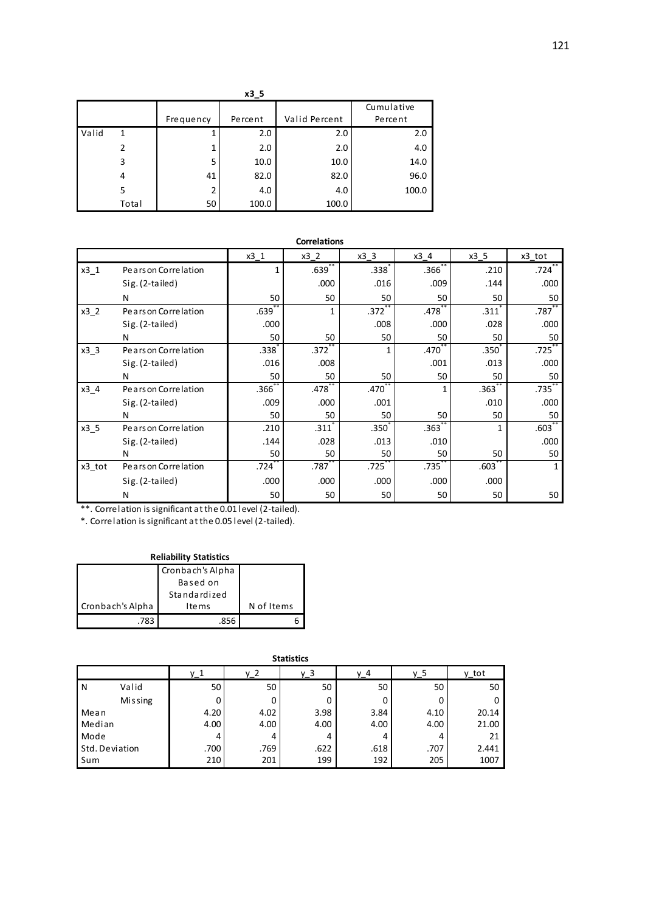|       | $x3_5$ |                |         |               |            |  |  |  |  |  |  |
|-------|--------|----------------|---------|---------------|------------|--|--|--|--|--|--|
|       |        |                |         |               | Cumulative |  |  |  |  |  |  |
|       |        | Frequency      | Percent | Valid Percent | Percent    |  |  |  |  |  |  |
| Valid | 1      | 1              | 2.0     | 2.0           | 2.0        |  |  |  |  |  |  |
|       |        | 1              | 2.0     | 2.0           | 4.0        |  |  |  |  |  |  |
|       | 3      | 5              | 10.0    | 10.0          | 14.0       |  |  |  |  |  |  |
|       | 4      | 41             | 82.0    | 82.0          | 96.0       |  |  |  |  |  |  |
|       | 5      | $\overline{2}$ | 4.0     | 4.0           | 100.0      |  |  |  |  |  |  |
|       | Total  | 50             | 100.0   | 100.0         |            |  |  |  |  |  |  |

|        | <b>Correlations</b>  |      |                   |                   |                   |                   |              |  |  |  |
|--------|----------------------|------|-------------------|-------------------|-------------------|-------------------|--------------|--|--|--|
|        |                      | x3 1 | x3 2              | x3 3              | x3 4              | x3 5              | x3 tot       |  |  |  |
| $x3_1$ | Pears on Correlation | 1    | .639 <sup>°</sup> | .338 <sup>2</sup> | .366 <sup>2</sup> | .210              | .724         |  |  |  |
|        | Sig. (2-tailed)      |      | .000              | .016              | .009              | .144              | .000         |  |  |  |
|        | N                    | 50   | 50                | 50                | 50                | 50                | 50           |  |  |  |
| $x3_2$ | Pears on Correlation | .639 | 1                 | .372              | .478              | .311              | .787         |  |  |  |
|        | Sig. (2-tailed)      | .000 |                   | .008              | .000              | .028              | .000         |  |  |  |
|        | N                    | 50   | 50                | 50                | 50                | 50                | 50           |  |  |  |
| $x3_3$ | Pears on Correlation | .338 | .372              | 1                 | .470              | .350 <sup>2</sup> | $.725$ **    |  |  |  |
|        | Sig. (2-tailed)      | .016 | .008              |                   | .001              | .013              | .000         |  |  |  |
|        | N                    | 50   | 50                | 50                | 50                | 50                | 50           |  |  |  |
| x3 4   | Pears on Correlation | .366 | .478              | .470              | 1                 | .363              | **<br>.735   |  |  |  |
|        | Sig. (2-tailed)      | .009 | .000              | .001              |                   | .010              | .000         |  |  |  |
|        | N                    | 50   | 50                | 50                | 50                | 50                | 50           |  |  |  |
| $x3_5$ | Pears on Correlation | .210 | .311              | .350 <sup>7</sup> | .363 <sup>°</sup> | 1                 | $.603***$    |  |  |  |
|        | Sig. (2-tailed)      | .144 | .028              | .013              | .010              |                   | .000         |  |  |  |
|        | N                    | 50   | 50                | 50                | 50                | 50                | 50           |  |  |  |
| x3_tot | Pears on Correlation | .724 | .787              | .725              | .735              | .603              | $\mathbf{1}$ |  |  |  |
|        | Sig. (2-tailed)      | .000 | .000              | .000              | .000              | .000              |              |  |  |  |
|        | N                    | 50   | 50                | 50                | 50                | 50                | 50           |  |  |  |

\*. Correlation is significant at the 0.05 level (2-tailed).

| <b>Reliability Statistics</b> |                  |            |  |  |  |  |
|-------------------------------|------------------|------------|--|--|--|--|
|                               | Cronbach's Alpha |            |  |  |  |  |
|                               |                  |            |  |  |  |  |
|                               | Standardized     |            |  |  |  |  |
| Cronbach's Alpha              | <b>Items</b>     | N of Items |  |  |  |  |
| -783                          | 856              |            |  |  |  |  |

|        | ---------      |                 |       |       |      |       |       |  |  |
|--------|----------------|-----------------|-------|-------|------|-------|-------|--|--|
|        |                | y_1             | $y_2$ | $y_3$ | y_4  | $y_5$ | y_tot |  |  |
| N      | Valid          | 50 <sub>1</sub> | 50    | 50    | 50   | 50    | 50    |  |  |
|        | <b>Missing</b> |                 | 0     | 0     | 0    |       | 0     |  |  |
| Mean   |                | 4.20            | 4.02  | 3.98  | 3.84 | 4.10  | 20.14 |  |  |
| Median |                | 4.00            | 4.00  | 4.00  | 4.00 | 4.00  | 21.00 |  |  |
| Mode   |                |                 | 4     | 4     | 4    |       | 21    |  |  |
|        | Std. Deviation | .700            | .769  | .622  | .618 | .707  | 2.441 |  |  |
| Sum    |                | 210             | 201   | 199   | 192  | 205   | 1007  |  |  |

#### **Statistics**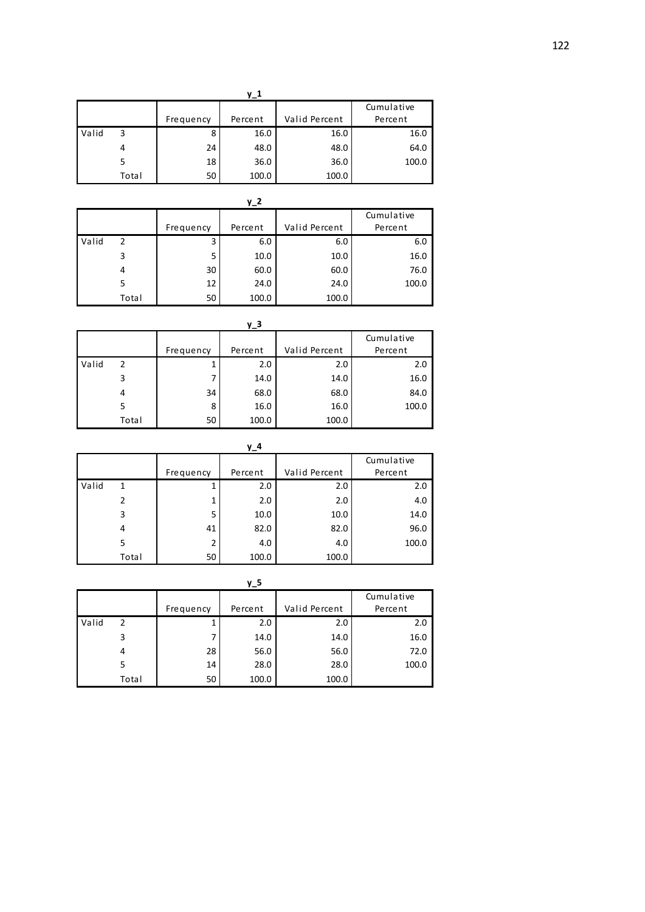| $y_1$ |       |           |         |               |            |  |  |  |  |
|-------|-------|-----------|---------|---------------|------------|--|--|--|--|
|       |       |           |         |               | Cumulative |  |  |  |  |
|       |       | Frequency | Percent | Valid Percent | Percent    |  |  |  |  |
| Valid | 3     | 8         | 16.0    | 16.0          | 16.0       |  |  |  |  |
|       | 4     | 24        | 48.0    | 48.0          | 64.0       |  |  |  |  |
|       |       | 18        | 36.0    | 36.0          | 100.0      |  |  |  |  |
|       | Total | 50        | 100.0   | 100.0         |            |  |  |  |  |

|       | $y_2$ |           |         |               |            |  |  |  |  |  |
|-------|-------|-----------|---------|---------------|------------|--|--|--|--|--|
|       |       |           |         |               | Cumulative |  |  |  |  |  |
|       |       | Frequency | Percent | Valid Percent | Percent    |  |  |  |  |  |
| Valid | 2     | 3         | 6.0     | 6.0           | 6.0        |  |  |  |  |  |
|       | 3     | 5         | 10.0    | 10.0          | 16.0       |  |  |  |  |  |
|       | 4     | 30        | 60.0    | 60.0          | 76.0       |  |  |  |  |  |
|       | 5     | 12        | 24.0    | 24.0          | 100.0      |  |  |  |  |  |
|       | Total | 50        | 100.0   | 100.0         |            |  |  |  |  |  |

| у_3   |       |           |         |               |            |  |  |  |  |  |
|-------|-------|-----------|---------|---------------|------------|--|--|--|--|--|
|       |       |           |         |               | Cumulative |  |  |  |  |  |
|       |       | Frequency | Percent | Valid Percent | Percent    |  |  |  |  |  |
| Valid | 2     |           | 2.0     | 2.0           | 2.0        |  |  |  |  |  |
|       | 3     |           | 14.0    | 14.0          | 16.0       |  |  |  |  |  |
|       | 4     | 34        | 68.0    | 68.0          | 84.0       |  |  |  |  |  |
|       | 5     | 8         | 16.0    | 16.0          | 100.0      |  |  |  |  |  |
|       | Total | 50        | 100.0   | 100.0         |            |  |  |  |  |  |

|       | y_4   |           |         |               |            |  |  |  |  |  |
|-------|-------|-----------|---------|---------------|------------|--|--|--|--|--|
|       |       |           |         |               | Cumulative |  |  |  |  |  |
|       |       | Frequency | Percent | Valid Percent | Percent    |  |  |  |  |  |
| Valid | 1     |           | 2.0     | 2.0           | 2.0        |  |  |  |  |  |
|       | 2     |           | 2.0     | 2.0           | 4.0        |  |  |  |  |  |
|       | 3     | 5         | 10.0    | 10.0          | 14.0       |  |  |  |  |  |
|       | 4     | 41        | 82.0    | 82.0          | 96.0       |  |  |  |  |  |
|       | 5     | 2         | 4.0     | 4.0           | 100.0      |  |  |  |  |  |
|       | Total | 50        | 100.0   | 100.0         |            |  |  |  |  |  |

|       |       |           | y_5     |               |            |
|-------|-------|-----------|---------|---------------|------------|
|       |       |           |         |               | Cumulative |
|       |       | Frequency | Percent | Valid Percent | Percent    |
| Valid | 2     |           | 2.0     | 2.0           | 2.0        |
|       | 3     | 7         | 14.0    | 14.0          | 16.0       |
|       | 4     | 28        | 56.0    | 56.0          | 72.0       |
|       | 5     | 14        | 28.0    | 28.0          | 100.0      |
|       | Total | 50        | 100.0   | 100.0         |            |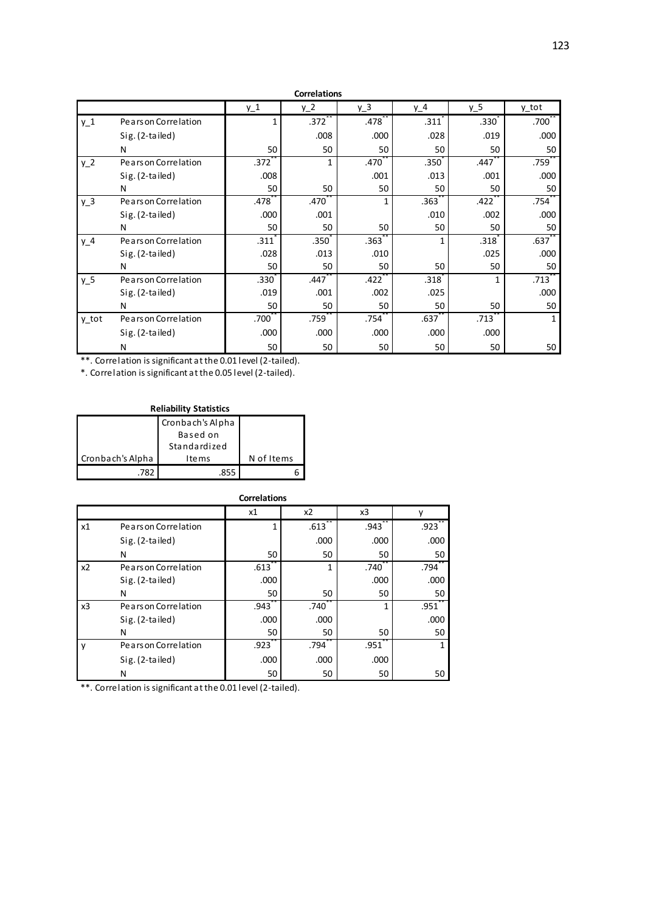|                |                      |                   | <b>Correlations</b> |                   |                   |                   |                   |
|----------------|----------------------|-------------------|---------------------|-------------------|-------------------|-------------------|-------------------|
|                |                      | $y_1$             | $y_2$               | $\underline{y}$ 3 | y_4               | $y_5$             | y_tot             |
| $y_1$          | Pears on Correlation | 1                 | $.372$ **           | .478              | .311              | .330 <sup>2</sup> | .700 <sup>°</sup> |
|                | $Sig. (2-tailed)$    |                   | .008                | .000              | .028              | .019              | .000              |
|                | N                    | 50                | 50                  | 50                | 50                | 50                | 50                |
| $y_2$          | Pears on Correlation | .372 <sup>2</sup> | $\mathbf{1}$        | .470              | .350 <sup>°</sup> | .447              | .759              |
|                | Sig. (2-tailed)      | .008              |                     | .001              | .013              | .001              | .000              |
|                | N                    | 50                | 50                  | 50                | 50                | 50                | 50                |
| y <sub>3</sub> | Pears on Correlation | .478              | .470                | 1                 | .363              | .422              | .754              |
|                | Sig. (2-tailed)      | .000              | .001                |                   | .010              | .002              | .000              |
|                | N                    | 50                | 50                  | 50                | 50                | 50                | 50                |
| $y_4$          | Pears on Correlation | .311              | .350 <sup>2</sup>   | .363 <sup>°</sup> | 1                 | .318              | .637 <sup>°</sup> |
|                | Sig. (2-tailed)      | .028              | .013                | .010              |                   | .025              | .000              |
|                | N                    | 50                | 50                  | 50                | 50                | 50                | 50                |
| $y_5$          | Pears on Correlation | .330 <sup>2</sup> | .447                | .422              | .318              | 1                 | .713              |
|                | Sig. (2-tailed)      | .019              | .001                | .002              | .025              |                   | .000              |
|                | N                    | 50                | 50                  | 50                | 50                | 50                | 50                |
| y tot          | Pears on Correlation | .700 <sup>1</sup> | .759                | .754              | .637              | .713              | 1                 |
|                | Sig. (2-tailed)      | .000              | .000                | .000              | .000              | .000              |                   |
|                | N                    | 50                | 50                  | 50                | 50                | 50                | 50                |

\*. Correlation is significant at the 0.05 level (2-tailed).

| <b>Reliability Statistics</b> |                  |            |  |  |  |  |
|-------------------------------|------------------|------------|--|--|--|--|
|                               | Cronbach's Alpha |            |  |  |  |  |
|                               | Based on         |            |  |  |  |  |
|                               | Standardized     |            |  |  |  |  |
| Cronbach's Alpha              | I te ms          | N of Items |  |  |  |  |
| 787                           |                  |            |  |  |  |  |

|                |                      | <b>Correlations</b> |      |      |                     |
|----------------|----------------------|---------------------|------|------|---------------------|
|                |                      | x1                  | x2   | x3   |                     |
| х1             | Pears on Correlation | 1                   | .613 | .943 | $.923$ <sup>*</sup> |
|                | Sig. (2-tailed)      |                     | .000 | .000 | .000                |
|                | N                    | 50                  | 50   | 50   | 50                  |
| x <sub>2</sub> | Pears on Correlation | .613                | 1    | .740 | .794                |
|                | Sig. (2-tailed)      | .000                |      | .000 | .000                |
|                | N                    | 50                  | 50   | 50   | 50                  |
| x3             | Pears on Correlation | .943                | .740 |      | .951                |
|                | Sig. (2-tailed)      | .000                | .000 |      | .000                |
|                | N                    | 50                  | 50   | 50   | 50                  |
| y              | Pears on Correlation | .923                | .794 | .951 | $\mathbf{1}$        |
|                | Sig. (2-tailed)      | .000                | .000 | .000 |                     |
|                | N                    | 50                  | 50   | 50   | 50                  |

\*\*. Correlation is significant at the 0.01 level (2-tailed).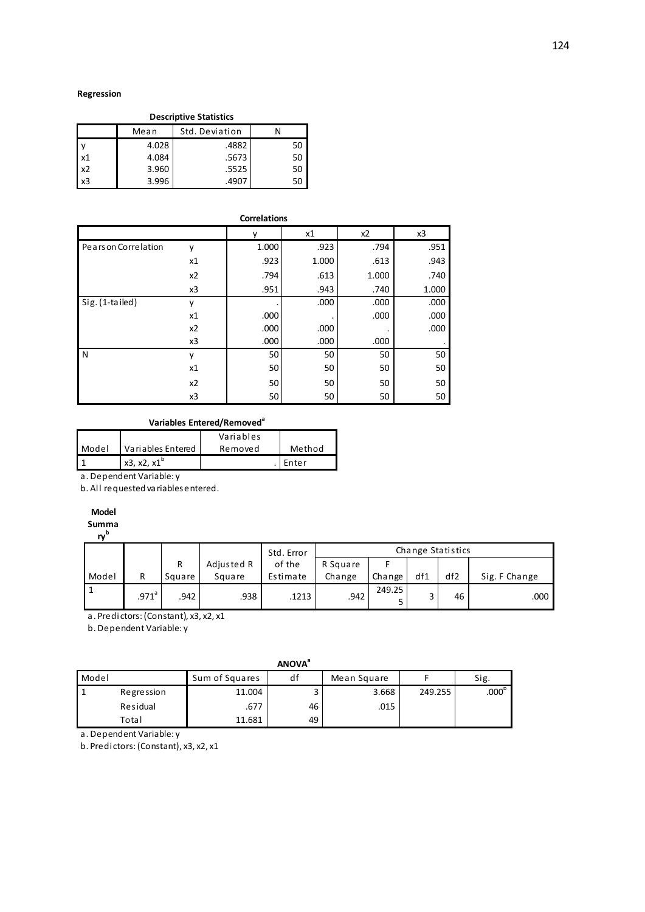#### **Regression**

| <b>Descriptive Statistics</b> |       |       |    |  |  |  |  |  |  |
|-------------------------------|-------|-------|----|--|--|--|--|--|--|
| Std. Deviation<br>Mean        |       |       |    |  |  |  |  |  |  |
|                               | 4.028 | .4882 | 50 |  |  |  |  |  |  |
| x1                            | 4.084 | .5673 | 50 |  |  |  |  |  |  |
| x <sub>2</sub>                | 3.960 | .5525 | 50 |  |  |  |  |  |  |
| x <sub>3</sub>                | 3.996 | .4907 | 50 |  |  |  |  |  |  |

|                      |    | <b>Correlations</b> |       |       |       |
|----------------------|----|---------------------|-------|-------|-------|
|                      |    |                     | x1    | x2    | x3    |
| Pears on Correlation | ٧  | 1.000               | .923  | .794  | .951  |
|                      | x1 | .923                | 1.000 | .613  | .943  |
|                      | x2 | .794                | .613  | 1.000 | .740  |
|                      | x3 | .951                | .943  | .740  | 1.000 |
| Sig. (1-tailed)      | ٧  |                     | .000  | .000  | .000  |
|                      | x1 | .000                |       | .000  | .000  |
|                      | x2 | .000                | .000  |       | .000  |
|                      | x3 | .000                | .000  | .000  |       |
| N                    | ٧  | 50                  | 50    | 50    | 50    |
|                      | x1 | 50                  | 50    | 50    | 50    |
|                      | x2 | 50                  | 50    | 50    | 50    |
|                      | x3 | 50                  | 50    | 50    | 50    |

### **Variables Entered/Removed<sup>a</sup>**

|       |                      | Variables |        |
|-------|----------------------|-----------|--------|
| Model | Variables Entered    | Removed   | Method |
|       | $x3, x2, x1^{\circ}$ |           | Enter  |
|       | .                    |           |        |

a. Dependent Variable: y

b. All requested variables entered.

## **Model**

**Summa**

**ry b**

|       |                     |        |            | Std. Error | Change Statistics |        |     |                 |               |
|-------|---------------------|--------|------------|------------|-------------------|--------|-----|-----------------|---------------|
|       |                     | R      | Adjusted R | of the     | R Square          |        |     |                 |               |
| Model | R                   | Square | Square     | Estimate   | Change            | Change | df1 | df <sub>2</sub> | Sig. F Change |
|       | $.971$ <sup>a</sup> | .942   | .938       | .1213      | .942              | 249.25 |     | 46              | .000          |

a. Predictors: (Constant), x3, x2, x1

b. Dependent Variable: y

|       | <b>ANOVA</b> <sup>a</sup> |                |    |             |         |                   |  |  |  |
|-------|---------------------------|----------------|----|-------------|---------|-------------------|--|--|--|
| Model |                           | Sum of Squares | df | Mean Square |         | Sig.              |  |  |  |
|       | Regression                | 11.004         |    | 3.668       | 249.255 | .000 <sup>b</sup> |  |  |  |
|       | Residual                  | .677           | 46 | .015        |         |                   |  |  |  |
|       | Total                     | 11.681         | 49 |             |         |                   |  |  |  |

a. Dependent Variable: y

b. Predictors: (Constant), x3, x2, x1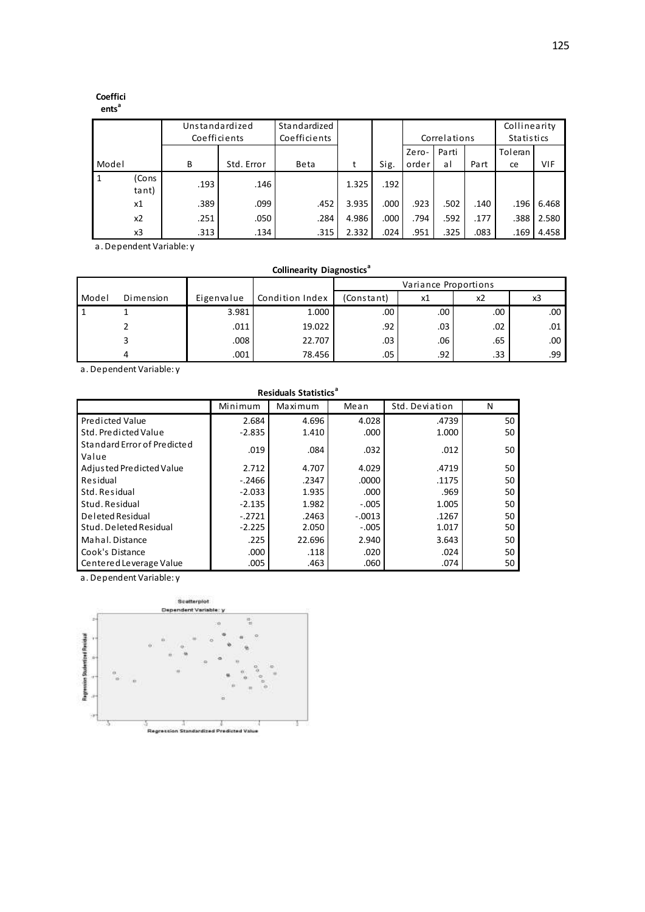# **Coeffici**

## **ents<sup>a</sup>**

|       |                | Unstandardized<br>Coefficients |            | Standardized<br>Coefficients |       |      |       | Correlations |      | Collinearity<br>Statistics |       |
|-------|----------------|--------------------------------|------------|------------------------------|-------|------|-------|--------------|------|----------------------------|-------|
|       |                |                                |            |                              |       |      | Zero- | Parti        |      | Toleran                    |       |
| Model |                | B                              | Std. Error | Beta                         | t     | Sig. | order | al           | Part | ce                         | VIF   |
|       | (Cons<br>tant) | .193                           | .146       |                              | 1.325 | .192 |       |              |      |                            |       |
|       | x1             | .389                           | .099       | .452                         | 3.935 | .000 | .923  | .502         | .140 | .196                       | 6.468 |
|       | x <sub>2</sub> | .251                           | .050       | .284                         | 4.986 | .000 | .794  | .592         | .177 | .388                       | 2.580 |
|       | x3             | .313                           | .134       | .315                         | 2.332 | .024 | .951  | .325         | .083 | .169                       | 4.458 |

a. Dependent Variable: y

|       | <b>Collinearity Diagnostics</b> <sup>"</sup> |            |                 |            |                      |     |     |  |  |  |
|-------|----------------------------------------------|------------|-----------------|------------|----------------------|-----|-----|--|--|--|
|       |                                              |            |                 |            | Variance Proportions |     |     |  |  |  |
| Model | Dimension                                    | Eigenvalue | Condition Index | (Constant) | х1                   | x2  | xЗ  |  |  |  |
|       |                                              | 3.981      | 1.000           | .00        | .00                  | .00 | .00 |  |  |  |
|       |                                              | .011       | 19.022          | .92        | .03                  | .02 | .01 |  |  |  |
|       |                                              | .008       | 22.707          | .03        | .06                  | .65 | .00 |  |  |  |
|       | 4                                            | .001       | 78.456          | .05        | .92                  | .33 | .99 |  |  |  |

a. Dependent Variable: y

| <b>Residuals Statistics<sup>ª</sup></b> |                                                   |        |          |       |    |  |  |  |  |  |
|-----------------------------------------|---------------------------------------------------|--------|----------|-------|----|--|--|--|--|--|
|                                         | Std. Deviation<br>Mean<br>Maximum<br>N<br>Minimum |        |          |       |    |  |  |  |  |  |
| <b>Predicted Value</b>                  | 2.684                                             | 4.696  | 4.028    | .4739 | 50 |  |  |  |  |  |
| Std. Predicted Value                    | $-2.835$                                          | 1.410  | .000     | 1.000 | 50 |  |  |  |  |  |
| Standard Error of Predicted             | .019                                              | .084   | .032     | .012  | 50 |  |  |  |  |  |
| Value                                   |                                                   |        |          |       |    |  |  |  |  |  |
| Adjusted Predicted Value                | 2.712                                             | 4.707  | 4.029    | .4719 | 50 |  |  |  |  |  |
| Residual                                | $-.2466$                                          | .2347  | .0000    | .1175 | 50 |  |  |  |  |  |
| Std. Residual                           | $-2.033$                                          | 1.935  | .000     | .969  | 50 |  |  |  |  |  |
| Stud. Residual                          | $-2.135$                                          | 1.982  | $-.005$  | 1.005 | 50 |  |  |  |  |  |
| Deleted Residual                        | $-.2721$                                          | .2463  | $-.0013$ | .1267 | 50 |  |  |  |  |  |
| Stud. Deleted Residual                  | $-2.225$                                          | 2.050  | $-.005$  | 1.017 | 50 |  |  |  |  |  |
| Mahal. Distance                         | .225                                              | 22.696 | 2.940    | 3.643 | 50 |  |  |  |  |  |
| Cook's Distance                         | .000                                              | .118   | .020     | .024  | 50 |  |  |  |  |  |
| Centered Leverage Value                 | .005                                              | .463   | .060     | .074  | 50 |  |  |  |  |  |

a. Dependent Variable: y

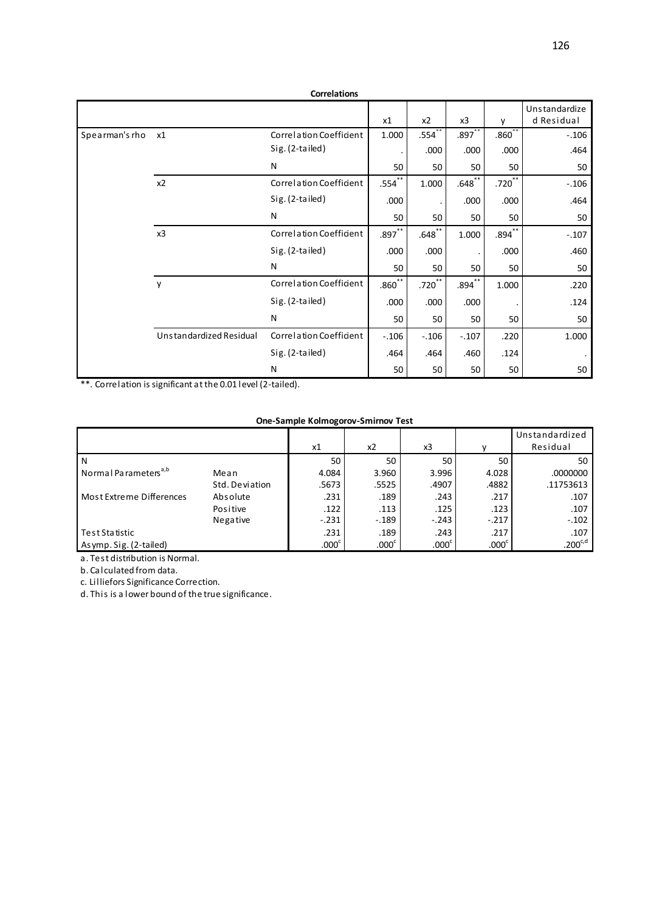|                |                         | <b>Correlations</b>     |                   |           |                      |                   |                             |
|----------------|-------------------------|-------------------------|-------------------|-----------|----------------------|-------------------|-----------------------------|
|                |                         |                         | x1                | x2        | x3                   | v                 | Unstandardize<br>d Residual |
| Spearman's rho | x1                      | Correlation Coefficient | 1.000             | .554      | $.897$ <sup>**</sup> | .860 <sup>°</sup> | $-.106$                     |
|                |                         | Sig. (2-tailed)         |                   | .000      | .000                 | .000              | .464                        |
|                |                         | N                       | 50                | 50        | 50                   | 50                | 50                          |
|                | x2                      | Correlation Coefficient | .554              | 1.000     | $.648$ **            | .720 <sup>2</sup> | $-.106$                     |
|                |                         | Sig. (2-tailed)         | .000              |           | .000                 | .000              | .464                        |
|                |                         | N                       | 50                | 50        | 50                   | 50                | 50                          |
|                | x3                      | Correlation Coefficient | $.897***$         | $.648$ ** | 1.000                | .894 <sup>°</sup> | $-.107$                     |
|                |                         | Sig. (2-tailed)         | .000              | .000      |                      | .000              | .460                        |
|                |                         | N                       | 50                | 50        | 50                   | 50                | 50                          |
|                | y                       | Correlation Coefficient | .860 <sup>°</sup> | $.720***$ | $.894***$            | 1.000             | .220                        |
|                |                         | Sig. (2-tailed)         | .000              | .000      | .000                 |                   | .124                        |
|                |                         | N                       | 50                | 50        | 50                   | 50                | 50                          |
|                | Unstandardized Residual | Correlation Coefficient | $-.106$           | $-.106$   | $-.107$              | .220              | 1.000                       |
|                |                         | Sig. (2-tailed)         | .464              | .464      | .460                 | .124              | $\bullet$                   |
|                |                         | N                       | 50                | 50        | 50                   | 50                | 50                          |

#### **One-Sample Kolmogorov-Smirnov Test**

|                                  |                | x1                | x2                | x3                |                   | Unstandardized<br>Residual |
|----------------------------------|----------------|-------------------|-------------------|-------------------|-------------------|----------------------------|
| N                                |                | 50                | 50                | 50                | 50                | 50                         |
| Normal Parameters <sup>a,b</sup> | Mean           | 4.084             | 3.960             | 3.996             | 4.028             | .0000000                   |
|                                  | Std. Deviation | .5673             | .5525             | .4907             | .4882             | .11753613                  |
| Most Extreme Differences         | Absolute       | .231              | .189              | .243              | .217              | .107                       |
|                                  | Positive       | .122              | .113              | .125              | .123              | .107                       |
|                                  | Negative       | $-.231$           | $-.189$           | $-.243$           | $-.217$           | $-.102$                    |
| Test Statistic                   |                | .231              | .189              | .243              | .217              | .107                       |
| Asymp. Sig. (2-tailed)           |                | .000 <sup>c</sup> | .000 <sup>c</sup> | .000 <sup>c</sup> | .000 <sup>c</sup> | $.200^{\text{c,d}}$        |

a. Test distribution is Normal.

b. Calculated from data.

c. Lilliefors Significance Correction.

d. This is a lower bound of the true significance.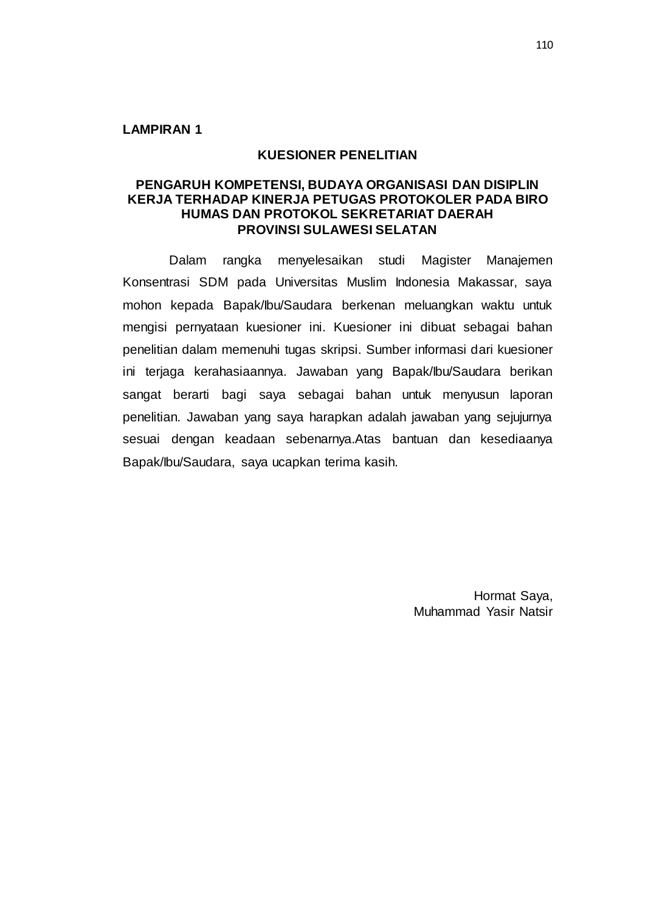## **KUESIONER PENELITIAN**

## **PENGARUH KOMPETENSI, BUDAYA ORGANISASI DAN DISIPLIN KERJA TERHADAP KINERJA PETUGAS PROTOKOLER PADA BIRO HUMAS DAN PROTOKOL SEKRETARIAT DAERAH PROVINSI SULAWESI SELATAN**

Dalam rangka menyelesaikan studi Magister Manajemen Konsentrasi SDM pada Universitas Muslim Indonesia Makassar, saya mohon kepada Bapak/Ibu/Saudara berkenan meluangkan waktu untuk mengisi pernyataan kuesioner ini. Kuesioner ini dibuat sebagai bahan penelitian dalam memenuhi tugas skripsi. Sumber informasi dari kuesioner ini terjaga kerahasiaannya. Jawaban yang Bapak/Ibu/Saudara berikan sangat berarti bagi saya sebagai bahan untuk menyusun laporan penelitian. Jawaban yang saya harapkan adalah jawaban yang sejujurnya sesuai dengan keadaan sebenarnya.Atas bantuan dan kesediaanya Bapak/Ibu/Saudara, saya ucapkan terima kasih.

> Hormat Saya, Muhammad Yasir Natsir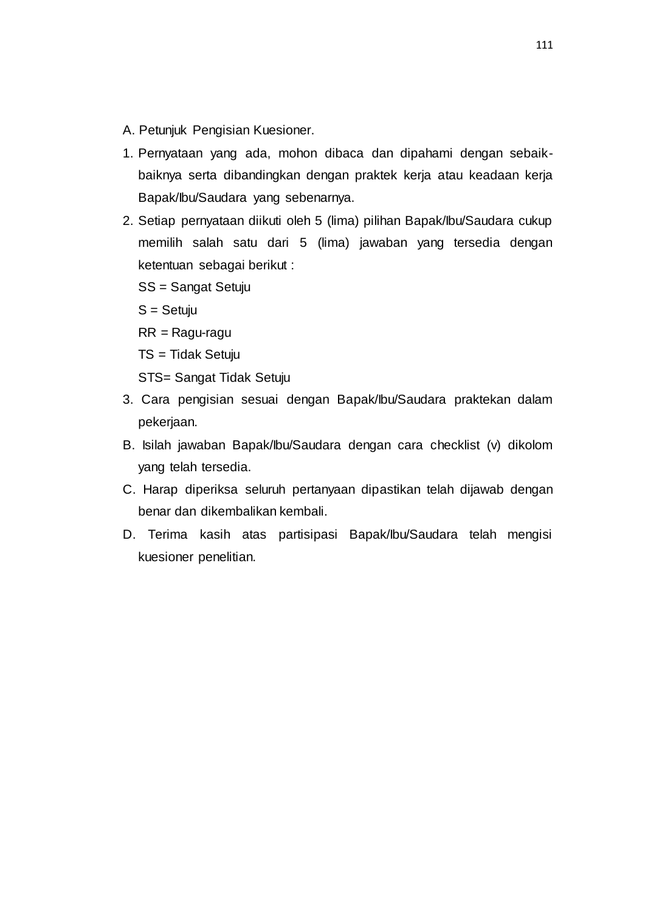- A. Petunjuk Pengisian Kuesioner.
- 1. Pernyataan yang ada, mohon dibaca dan dipahami dengan sebaikbaiknya serta dibandingkan dengan praktek kerja atau keadaan kerja Bapak/Ibu/Saudara yang sebenarnya.
- 2. Setiap pernyataan diikuti oleh 5 (lima) pilihan Bapak/Ibu/Saudara cukup memilih salah satu dari 5 (lima) jawaban yang tersedia dengan ketentuan sebagai berikut :

SS = Sangat Setuju

S = Setuju

RR = Ragu-ragu

TS = Tidak Setuju

STS= Sangat Tidak Setuju

- 3. Cara pengisian sesuai dengan Bapak/Ibu/Saudara praktekan dalam pekerjaan.
- B. Isilah jawaban Bapak/Ibu/Saudara dengan cara checklist (v) dikolom yang telah tersedia.
- C. Harap diperiksa seluruh pertanyaan dipastikan telah dijawab dengan benar dan dikembalikan kembali.
- D. Terima kasih atas partisipasi Bapak/Ibu/Saudara telah mengisi kuesioner penelitian.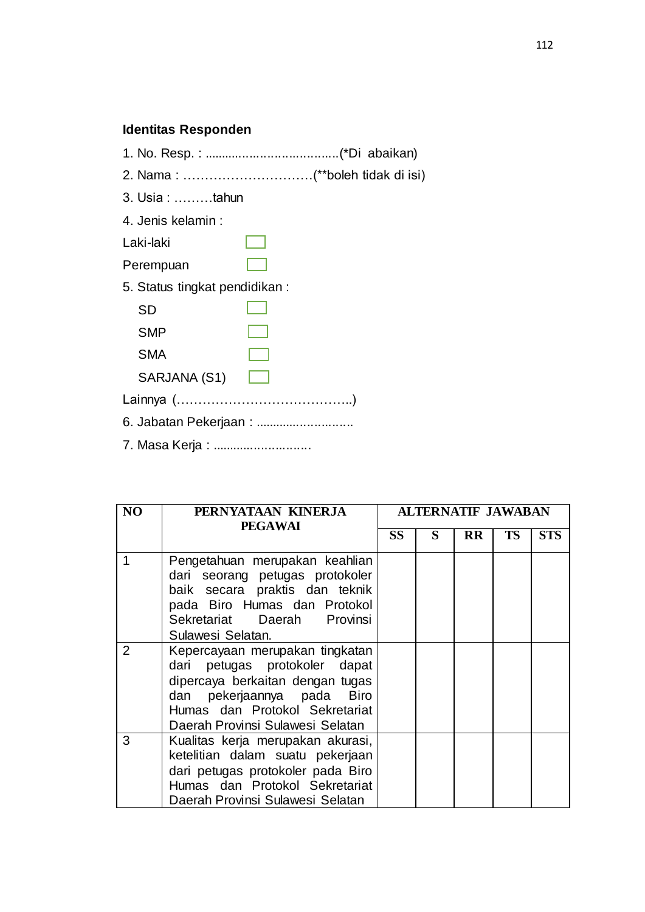## **Identitas Responden**

- 1. No. Resp. : ......................................(\*Di abaikan)
- 2. Nama : …………………………(\*\*boleh tidak di isi)
- 3. Usia : ………tahun
- 4. Jenis kelamin :
- Laki-laki
- Perempuan
- 5. Status tingkat pendidikan :

| SD           |  |
|--------------|--|
| <b>SMP</b>   |  |
| <b>SMA</b>   |  |
| SARJANA (S1) |  |
| Lainnya (    |  |
|              |  |

- 6. Jabatan Pekerjaan : ............................
- 7. Masa Kerja : ............................

| N <sub>O</sub> | PERNYATAAN KINERJA<br><b>PEGAWAI</b>                                                                                                                                                                     | <b>ALTERNATIF JAWABAN</b> |   |           |           |            |
|----------------|----------------------------------------------------------------------------------------------------------------------------------------------------------------------------------------------------------|---------------------------|---|-----------|-----------|------------|
|                |                                                                                                                                                                                                          | <b>SS</b>                 | S | <b>RR</b> | <b>TS</b> | <b>STS</b> |
| 1              | Pengetahuan merupakan keahlian<br>dari seorang petugas protokoler<br>baik secara praktis dan teknik<br>pada Biro Humas dan Protokol<br>Sekretariat Daerah Provinsi<br>Sulawesi Selatan.                  |                           |   |           |           |            |
| 2              | Kepercayaan merupakan tingkatan<br>dari petugas protokoler dapat<br>dipercaya berkaitan dengan tugas<br>dan pekerjaannya pada Biro<br>Humas dan Protokol Sekretariat<br>Daerah Provinsi Sulawesi Selatan |                           |   |           |           |            |
| 3              | Kualitas kerja merupakan akurasi,<br>ketelitian dalam suatu pekerjaan<br>dari petugas protokoler pada Biro<br>Humas dan Protokol Sekretariat<br>Daerah Provinsi Sulawesi Selatan                         |                           |   |           |           |            |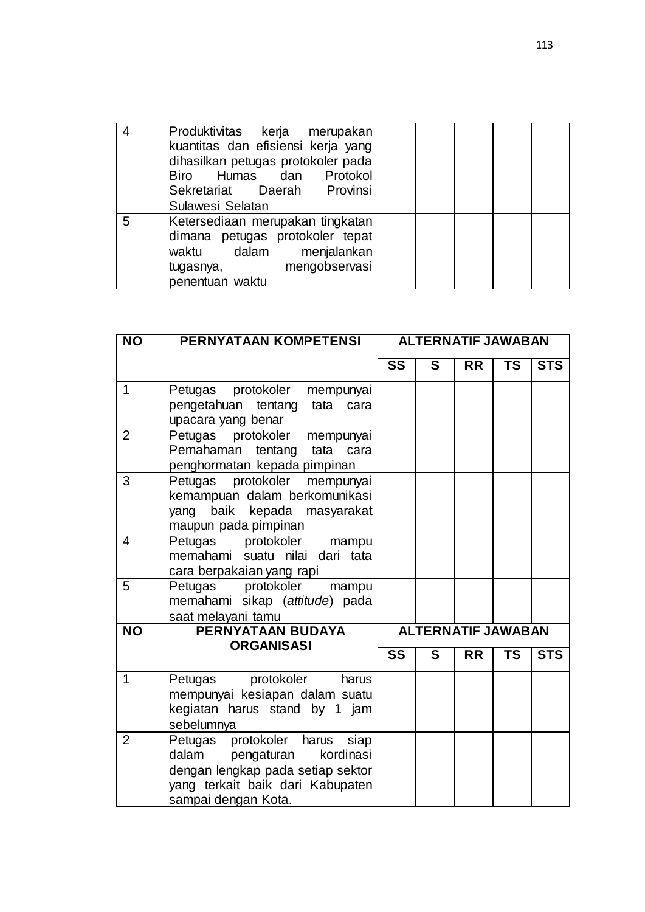|   | Produktivitas kerja merupakan<br>kuantitas dan efisiensi kerja yang<br>dihasilkan petugas protokoler pada<br>Biro Humas dan Protokol<br>Sekretariat Daerah Provinsi<br>Sulawesi Selatan |  |  |  |
|---|-----------------------------------------------------------------------------------------------------------------------------------------------------------------------------------------|--|--|--|
| 5 | Ketersediaan merupakan tingkatan<br>dimana petugas protokoler tepat<br>waktu dalam menjalankan<br>mengobservasi<br>tugasnya,<br>penentuan waktu                                         |  |  |  |

| $\overline{NO}$ | <b>PERNYATAAN KOMPETENSI</b>                                                                                                                                      | <b>ALTERNATIF JAWABAN</b> |   |                           |           |            |  |
|-----------------|-------------------------------------------------------------------------------------------------------------------------------------------------------------------|---------------------------|---|---------------------------|-----------|------------|--|
|                 |                                                                                                                                                                   | SS                        | S | <b>RR</b>                 | <b>TS</b> | <b>STS</b> |  |
| $\mathbf{1}$    | Petugas protokoler<br>mempunyai<br>pengetahuan tentang<br>tata cara<br>upacara yang benar                                                                         |                           |   |                           |           |            |  |
| $\overline{2}$  | Petugas protokoler<br>mempunyai<br>Pemahaman tentang<br>tata cara<br>penghormatan kepada pimpinan                                                                 |                           |   |                           |           |            |  |
| 3               | Petugas protokoler<br>mempunyai<br>kemampuan dalam berkomunikasi<br>baik kepada masyarakat<br>yang<br>maupun pada pimpinan                                        |                           |   |                           |           |            |  |
| $\overline{4}$  | Petugas protokoler mampu<br>memahami suatu nilai dari tata<br>cara berpakaian yang rapi                                                                           |                           |   |                           |           |            |  |
| 5               | protokoler<br>Petugas<br>mampu<br>memahami sikap (attitude) pada<br>saat melayani tamu                                                                            |                           |   |                           |           |            |  |
| $\overline{NO}$ | PERNYATAAN BUDAYA                                                                                                                                                 |                           |   | <b>ALTERNATIF JAWABAN</b> |           |            |  |
|                 | <b>ORGANISASI</b>                                                                                                                                                 | $\overline{\text{ss}}$    | S | <b>RR</b>                 | <b>TS</b> | <b>STS</b> |  |
| $\mathbf{1}$    | Petugas protokoler harus<br>mempunyai kesiapan dalam suatu<br>kegiatan harus stand by 1 jam<br>sebelumnya                                                         |                           |   |                           |           |            |  |
| $\overline{2}$  | Petugas protokoler harus siap<br>dalam<br>pengaturan<br>kordinasi<br>dengan lengkap pada setiap sektor<br>yang terkait baik dari Kabupaten<br>sampai dengan Kota. |                           |   |                           |           |            |  |